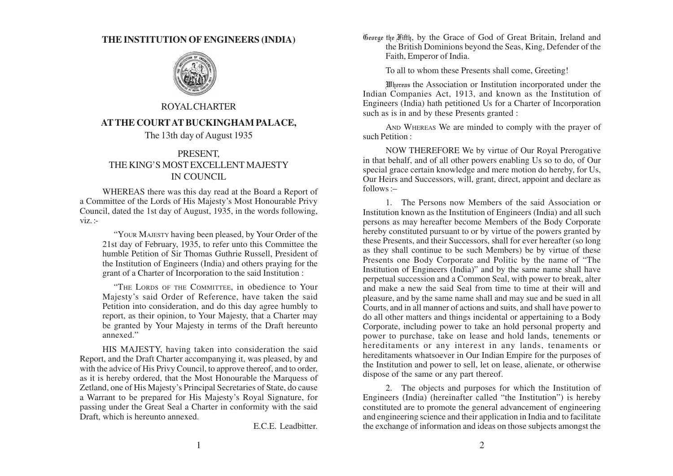## **THE INSTITUTION OF ENGINEERS (INDIA)**



## ROYAL CHARTER **AT THE COURT AT BUCKINGHAM PALACE,**

The 13th day of August 1935

## PRESENT, THE KING'S MOST EXCELLENT MAJESTY IN COUNCIL

WHEREAS there was this day read at the Board a Report of a Committee of the Lords of His Majesty's Most Honourable Privy Council, dated the 1st day of August, 1935, in the words following,  $viz.$ :-

"YOUR MAJESTY having been pleased, by Your Order of the 21st day of February, 1935, to refer unto this Committee the humble Petition of Sir Thomas Guthrie Russell, President of the Institution of Engineers (India) and others praying for the grant of a Charter of Incorporation to the said Institution :

"THE LORDS OF THE COMMITTEE, in obedience to Your Majesty's said Order of Reference, have taken the said Petition into consideration, and do this day agree humbly to report, as their opinion, to Your Majesty, that a Charter may be granted by Your Majesty in terms of the Draft hereunto annexed."

HIS MAJESTY, having taken into consideration the said Report, and the Draft Charter accompanying it, was pleased, by and with the advice of His Privy Council, to approve thereof, and to order, as it is hereby ordered, that the Most Honourable the Marquess of Zetland, one of His Majesty's Principal Secretaries of State, do cause a Warrant to be prepared for His Majesty's Royal Signature, for passing under the Great Seal a Charter in conformity with the said Draft, which is hereunto annexed.

E.C.E. Leadbitter.

George the Fifth, by the Grace of God of Great Britain, Ireland and the British Dominions beyond the Seas, King, Defender of the Faith, Emperor of India.

To all to whom these Presents shall come, Greeting!

Whereas the Association or Institution incorporated under the Indian Companies Act, 1913, and known as the Institution of Engineers (India) hath petitioned Us for a Charter of Incorporation such as is in and by these Presents granted :

AND WHEREAS We are minded to comply with the prayer of such Petition :

NOW THEREFORE We by virtue of Our Royal Prerogative in that behalf, and of all other powers enabling Us so to do, of Our special grace certain knowledge and mere motion do hereby, for Us, Our Heirs and Successors, will, grant, direct, appoint and declare as follows :–

1. The Persons now Members of the said Association or Institution known as the Institution of Engineers (India) and all such persons as may hereafter become Members of the Body Corporate hereby constituted pursuant to or by virtue of the powers granted by these Presents, and their Successors, shall for ever hereafter (so long as they shall continue to be such Members) be by virtue of these Presents one Body Corporate and Politic by the name of "The Institution of Engineers (India)" and by the same name shall have perpetual succession and a Common Seal, with power to break, alter and make a new the said Seal from time to time at their will and pleasure, and by the same name shall and may sue and be sued in all Courts, and in all manner of actions and suits, and shall have power to do all other matters and things incidental or appertaining to a Body Corporate, including power to take an hold personal property and power to purchase, take on lease and hold lands, tenements or hereditaments or any interest in any lands, tenaments or hereditaments whatsoever in Our Indian Empire for the purposes of the Institution and power to sell, let on lease, alienate, or otherwise dispose of the same or any part thereof.

2. The objects and purposes for which the Institution of Engineers (India) (hereinafter called "the Institution") is hereby constituted are to promote the general advancement of engineering and engineering science and their application in India and to facilitate the exchange of information and ideas on those subjects amongst the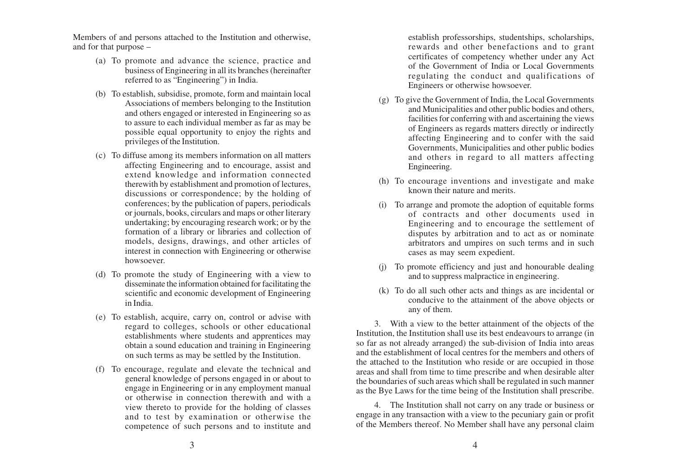Members of and persons attached to the Institution and otherwise, and for that purpose –

- (a) To promote and advance the science, practice and business of Engineering in all its branches (hereinafter referred to as "Engineering") in India.
- (b) To establish, subsidise, promote, form and maintain local Associations of members belonging to the Institution and others engaged or interested in Engineering so as to assure to each individual member as far as may be possible equal opportunity to enjoy the rights and privileges of the Institution.
- (c) To diffuse among its members information on all matters affecting Engineering and to encourage, assist and extend knowledge and information connected therewith by establishment and promotion of lectures, discussions or correspondence; by the holding of conferences; by the publication of papers, periodicals or journals, books, circulars and maps or other literary undertaking; by encouraging research work; or by the formation of a library or libraries and collection of models, designs, drawings, and other articles of interest in connection with Engineering or otherwise howsoever.
- (d) To promote the study of Engineering with a view to disseminate the information obtained for facilitating the scientific and economic development of Engineering in India.
- (e) To establish, acquire, carry on, control or advise with regard to colleges, schools or other educational establishments where students and apprentices may obtain a sound education and training in Engineering on such terms as may be settled by the Institution.
- (f) To encourage, regulate and elevate the technical and general knowledge of persons engaged in or about to engage in Engineering or in any employment manual or otherwise in connection therewith and with a view thereto to provide for the holding of classes and to test by examination or otherwise the competence of such persons and to institute and

establish professorships, studentships, scholarships, rewards and other benefactions and to grant certificates of competency whether under any Act of the Government of India or Local Governments regulating the conduct and qualifications of Engineers or otherwise howsoever.

- (g) To give the Government of India, the Local Governments and Municipalities and other public bodies and others, facilities for conferring with and ascertaining the views of Engineers as regards matters directly or indirectly affecting Engineering and to confer with the said Governments, Municipalities and other public bodies and others in regard to all matters affecting Engineering.
- (h) To encourage inventions and investigate and make known their nature and merits.
- (i) To arrange and promote the adoption of equitable forms of contracts and other documents used in Engineering and to encourage the settlement of disputes by arbitration and to act as or nominate arbitrators and umpires on such terms and in such cases as may seem expedient.
- (j) To promote efficiency and just and honourable dealing and to suppress malpractice in engineering.
- (k) To do all such other acts and things as are incidental or conducive to the attainment of the above objects or any of them.

3. With a view to the better attainment of the objects of the Institution, the Institution shall use its best endeavours to arrange (in so far as not already arranged) the sub-division of India into areas and the establishment of local centres for the members and others of the attached to the Institution who reside or are occupied in those areas and shall from time to time prescribe and when desirable alter the boundaries of such areas which shall be regulated in such manner as the Bye Laws for the time being of the Institution shall prescribe.

4. The Institution shall not carry on any trade or business or engage in any transaction with a view to the pecuniary gain or profit of the Members thereof. No Member shall have any personal claim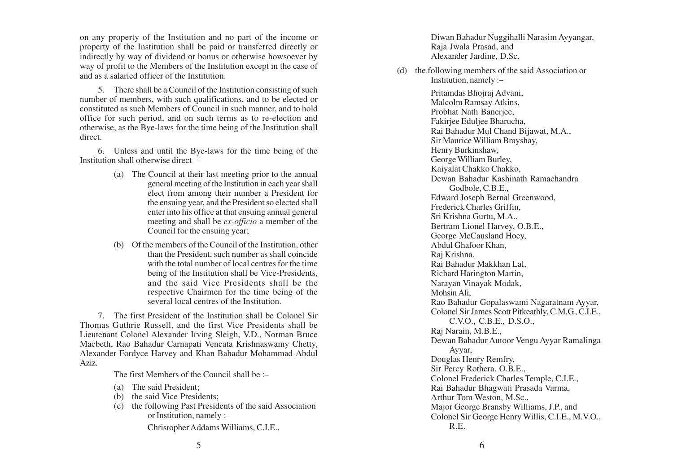on any property of the Institution and no part of the income or property of the Institution shall be paid or transferred directly or indirectly by way of dividend or bonus or otherwise howsoever by way of profit to the Members of the Institution except in the case of and as a salaried officer of the Institution.

5. There shall be a Council of the Institution consisting of such number of members, with such qualifications, and to be elected or constituted as such Members of Council in such manner, and to hold office for such period, and on such terms as to re-election and otherwise, as the Bye-laws for the time being of the Institution shall direct.

6. Unless and until the Bye-laws for the time being of the Institution shall otherwise direct –

- (a) The Council at their last meeting prior to the annual general meeting of the Institution in each year shall elect from among their number a President for the ensuing year, and the President so elected shall enter into his office at that ensuing annual general meeting and shall be *ex-officio* a member of the Council for the ensuing year;
- (b) Of the members of the Council of the Institution, other than the President, such number as shall coincide with the total number of local centres for the time being of the Institution shall be Vice-Presidents, and the said Vice Presidents shall be the respective Chairmen for the time being of the several local centres of the Institution.

7. The first President of the Institution shall be Colonel Sir Thomas Guthrie Russell, and the first Vice Presidents shall be Lieutenant Colonel Alexander Irving Sleigh, V.D., Norman Bruce Macbeth, Rao Bahadur Carnapati Vencata Krishnaswamy Chetty, Alexander Fordyce Harvey and Khan Bahadur Mohammad Abdul Aziz.

The first Members of the Council shall be :–

- (a) The said President;
- (b) the said Vice Presidents;
- (c) the following Past Presidents of the said Association or Institution, namely :–

Christopher Addams Williams, C.I.E.,

Diwan Bahadur Nuggihalli Narasim Ayyangar, Raja Jwala Prasad, and Alexander Jardine, D.Sc.

(d) the following members of the said Association or Institution, namely :–

> Pritamdas Bhojraj Advani, Malcolm Ramsay Atkins, Probhat Nath Banerjee, Fakirjee Eduljee Bharucha, Rai Bahadur Mul Chand Bijawat, M.A., Sir Maurice William Brayshay, Henry Burkinshaw, George William Burley, Kaiyalat Chakko Chakko, Dewan Bahadur Kashinath Ramachandra Godbole, C.B.E., Edward Joseph Bernal Greenwood, Frederick Charles Griffin, Sri Krishna Gurtu, M.A., Bertram Lionel Harvey, O.B.E., George McCausland Hoey, Abdul Ghafoor Khan, Raj Krishna, Rai Bahadur Makkhan Lal, Richard Harington Martin, Narayan Vinayak Modak, Mohsin Ali, Rao Bahadur Gopalaswami Nagaratnam Ayyar, Colonel Sir James Scott Pitkeathly, C.M.G., C.I.E., C.V.O., C.B.E., D.S.O., Raj Narain, M.B.E., Dewan Bahadur Autoor Vengu Ayyar Ramalinga Ayyar, Douglas Henry Remfry, Sir Percy Rothera, O.B.E., Colonel Frederick Charles Temple, C.I.E., Rai Bahadur Bhagwati Prasada Varma, Arthur Tom Weston, M.Sc., Major George Bransby Williams, J.P., and Colonel Sir George Henry Willis, C.I.E., M.V.O., R.E.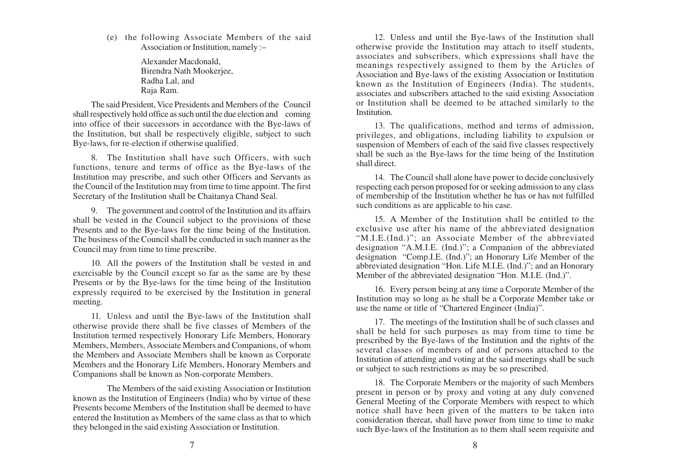(e) the following Associate Members of the said Association or Institution, namely :–

> Alexander Macdonald, Birendra Nath Mookerjee, Radha Lal, and Raja Ram.

The said President, Vice Presidents and Members of the Council shall respectively hold office as such until the due election and coming into office of their successors in accordance with the Bye-laws of the Institution, but shall be respectively eligible, subject to such Bye-laws, for re-election if otherwise qualified.

8. The Institution shall have such Officers, with such functions, tenure and terms of office as the Bye-laws of the Institution may prescribe, and such other Officers and Servants as the Council of the Institution may from time to time appoint. The first Secretary of the Institution shall be Chaitanya Chand Seal.

9. The government and control of the Institution and its affairs shall be vested in the Council subject to the provisions of these Presents and to the Bye-laws for the time being of the Institution. The business of the Council shall be conducted in such manner as the Council may from time to time prescribe.

10. All the powers of the Institution shall be vested in and exercisable by the Council except so far as the same are by these Presents or by the Bye-laws for the time being of the Institution expressly required to be exercised by the Institution in general meeting.

11. Unless and until the Bye-laws of the Institution shall otherwise provide there shall be five classes of Members of the Institution termed respectively Honorary Life Members, Honorary Members, Members, Associate Members and Companions, of whom the Members and Associate Members shall be known as Corporate Members and the Honorary Life Members, Honorary Members and Companions shall be known as Non-corporate Members.

The Members of the said existing Association or Institution known as the Institution of Engineers (India) who by virtue of these Presents become Members of the Institution shall be deemed to have entered the Institution as Members of the same class as that to which they belonged in the said existing Association or Institution.

12. Unless and until the Bye-laws of the Institution shall otherwise provide the Institution may attach to itself students, associates and subscribers, which expressions shall have the meanings respectively assigned to them by the Articles of Association and Bye-laws of the existing Association or Institution known as the Institution of Engineers (India). The students, associates and subscribers attached to the said existing Association or Institution shall be deemed to be attached similarly to the Institution.

13. The qualifications, method and terms of admission, privileges, and obligations, including liability to expulsion or suspension of Members of each of the said five classes respectively shall be such as the Bye-laws for the time being of the Institution shall direct.

14. The Council shall alone have power to decide conclusively respecting each person proposed for or seeking admission to any class of membership of the Institution whether he has or has not fulfilled such conditions as are applicable to his case.

15. A Member of the Institution shall be entitled to the exclusive use after his name of the abbreviated designation "M.I.E.(Ind.)"; an Associate Member of the abbreviated designation "A.M.I.E. (Ind.)"; a Companion of the abbreviated designation "Comp.I.E. (Ind.)"; an Honorary Life Member of the abbreviated designation "Hon. Life M.I.E. (Ind.)"; and an Honorary Member of the abbreviated designation "Hon. M.I.E. (Ind.)".

16. Every person being at any time a Corporate Member of the Institution may so long as he shall be a Corporate Member take or use the name or title of "Chartered Engineer (India)".

17. The meetings of the Institution shall be of such classes and shall be held for such purposes as may from time to time be prescribed by the Bye-laws of the Institution and the rights of the several classes of members of and of persons attached to the Institution of attending and voting at the said meetings shall be such or subject to such restrictions as may be so prescribed.

18. The Corporate Members or the majority of such Members present in person or by proxy and voting at any duly convened General Meeting of the Corporate Members with respect to which notice shall have been given of the matters to be taken into consideration thereat, shall have power from time to time to make such Bye-laws of the Institution as to them shall seem requisite and